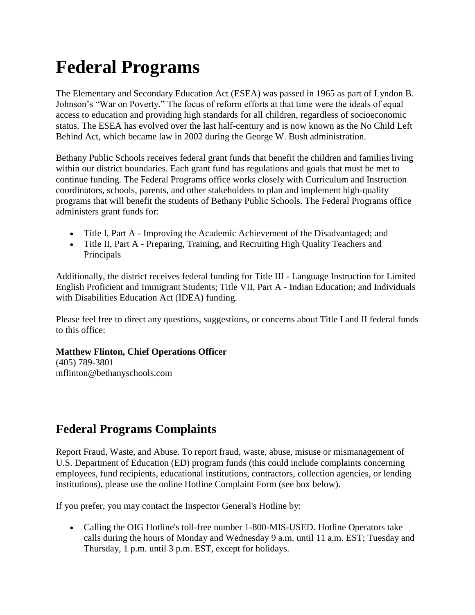## **Federal Programs**

The Elementary and Secondary Education Act (ESEA) was passed in 1965 as part of Lyndon B. Johnson's "War on Poverty." The focus of reform efforts at that time were the ideals of equal access to education and providing high standards for all children, regardless of socioeconomic status. The ESEA has evolved over the last half-century and is now known as the No Child Left Behind Act, which became law in 2002 during the George W. Bush administration.

Bethany Public Schools receives federal grant funds that benefit the children and families living within our district boundaries. Each grant fund has regulations and goals that must be met to continue funding. The Federal Programs office works closely with Curriculum and Instruction coordinators, schools, parents, and other stakeholders to plan and implement high-quality programs that will benefit the students of Bethany Public Schools. The Federal Programs office administers grant funds for:

- Title I, Part A Improving the Academic Achievement of the Disadvantaged; and
- Title II, Part A Preparing, Training, and Recruiting High Quality Teachers and Principals

Additionally, the district receives federal funding for Title III - Language Instruction for Limited English Proficient and Immigrant Students; Title VII, Part A - Indian Education; and Individuals with Disabilities Education Act (IDEA) funding.

Please feel free to direct any questions, suggestions, or concerns about Title I and II federal funds to this office:

## **Matthew Flinton, Chief Operations Officer**

(405) 789-3801 mflinton@bethanyschools.com

## **Federal Programs Complaints**

Report Fraud, Waste, and Abuse. To report fraud, waste, abuse, misuse or mismanagement of U.S. Department of Education (ED) program funds (this could include complaints concerning employees, fund recipients, educational institutions, contractors, collection agencies, or lending institutions), please use the online Hotline Complaint Form (see box below).

If you prefer, you may contact the Inspector General's Hotline by:

• Calling the OIG Hotline's toll-free number 1-800-MIS-USED. Hotline Operators take calls during the hours of Monday and Wednesday 9 a.m. until 11 a.m. EST; Tuesday and Thursday, 1 p.m. until 3 p.m. EST, except for holidays.